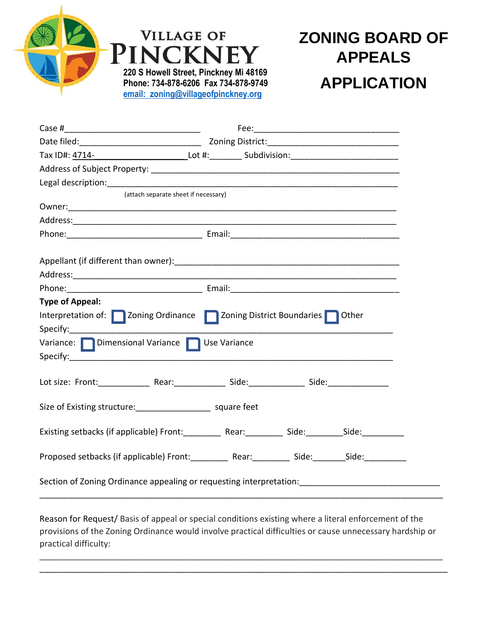

## **ZONING BOARD OF APPEALS APPLICATION**

| Date filed: <u>National Contract Contract Contract Contract Contract Contract Contract Contract Contract Contract Contract Contract Contract Contract Contract Contract Contract Contract Contract Contract Contract Contract Co</u> |  |  |  |  |  |
|--------------------------------------------------------------------------------------------------------------------------------------------------------------------------------------------------------------------------------------|--|--|--|--|--|
| Tax ID#: <u>4714-_____________________________</u> _Lot #:___________Subdivision:_________________________                                                                                                                           |  |  |  |  |  |
|                                                                                                                                                                                                                                      |  |  |  |  |  |
|                                                                                                                                                                                                                                      |  |  |  |  |  |
| (attach separate sheet if necessary)                                                                                                                                                                                                 |  |  |  |  |  |
|                                                                                                                                                                                                                                      |  |  |  |  |  |
|                                                                                                                                                                                                                                      |  |  |  |  |  |
|                                                                                                                                                                                                                                      |  |  |  |  |  |
|                                                                                                                                                                                                                                      |  |  |  |  |  |
|                                                                                                                                                                                                                                      |  |  |  |  |  |
|                                                                                                                                                                                                                                      |  |  |  |  |  |
|                                                                                                                                                                                                                                      |  |  |  |  |  |
| <b>Type of Appeal:</b>                                                                                                                                                                                                               |  |  |  |  |  |
| Interpretation of: Zoning Ordinance Zoning District Boundaries Other                                                                                                                                                                 |  |  |  |  |  |
|                                                                                                                                                                                                                                      |  |  |  |  |  |
| Variance: Dimensional Variance Use Variance                                                                                                                                                                                          |  |  |  |  |  |
|                                                                                                                                                                                                                                      |  |  |  |  |  |
|                                                                                                                                                                                                                                      |  |  |  |  |  |
|                                                                                                                                                                                                                                      |  |  |  |  |  |
| Size of Existing structure: __________________________ square feet                                                                                                                                                                   |  |  |  |  |  |
|                                                                                                                                                                                                                                      |  |  |  |  |  |
| Existing setbacks (if applicable) Front: Rear: Side: Side: Side: Side:                                                                                                                                                               |  |  |  |  |  |
| Proposed setbacks (if applicable) Front: _________ Rear: ________ Side: _______Side: _________                                                                                                                                       |  |  |  |  |  |
|                                                                                                                                                                                                                                      |  |  |  |  |  |

Reason for Request/ Basis of appeal or special conditions existing where a literal enforcement of the provisions of the Zoning Ordinance would involve practical difficulties or cause unnecessary hardship or practical difficulty:

\_\_\_\_\_\_\_\_\_\_\_\_\_\_\_\_\_\_\_\_\_\_\_\_\_\_\_\_\_\_\_\_\_\_\_\_\_\_\_\_\_\_\_\_\_\_\_\_\_\_\_\_\_\_\_\_\_\_\_\_\_\_\_\_\_\_\_\_\_\_\_\_\_\_\_\_\_\_\_\_\_\_\_\_\_\_ \_\_\_\_\_\_\_\_\_\_\_\_\_\_\_\_\_\_\_\_\_\_\_\_\_\_\_\_\_\_\_\_\_\_\_\_\_\_\_\_\_\_\_\_\_\_\_\_\_\_\_\_\_\_\_\_\_\_\_\_\_\_\_\_\_\_\_\_\_\_\_\_\_\_\_\_\_\_\_\_\_\_\_\_\_\_\_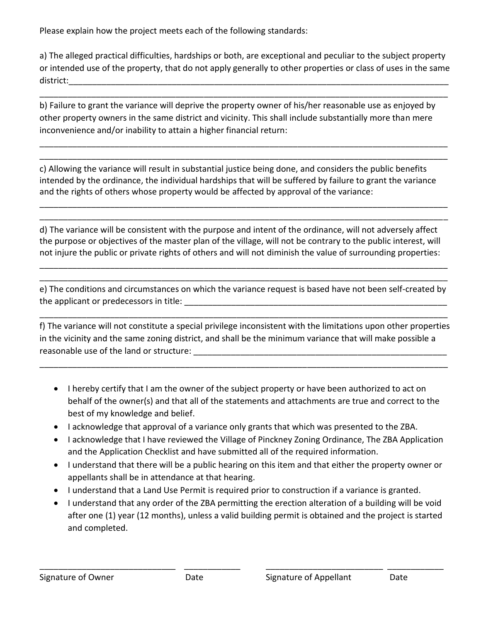Please explain how the project meets each of the following standards:

a) The alleged practical difficulties, hardships or both, are exceptional and peculiar to the subject property or intended use of the property, that do not apply generally to other properties or class of uses in the same district:\_\_\_\_\_\_\_\_\_\_\_\_\_\_\_\_\_\_\_\_\_\_\_\_\_\_\_\_\_\_\_\_\_\_\_\_\_\_\_\_\_\_\_\_\_\_\_\_\_\_\_\_\_\_\_\_\_\_\_\_\_\_\_\_\_\_\_\_\_\_\_\_\_\_\_\_\_\_\_\_\_

\_\_\_\_\_\_\_\_\_\_\_\_\_\_\_\_\_\_\_\_\_\_\_\_\_\_\_\_\_\_\_\_\_\_\_\_\_\_\_\_\_\_\_\_\_\_\_\_\_\_\_\_\_\_\_\_\_\_\_\_\_\_\_\_\_\_\_\_\_\_\_\_\_\_\_\_\_\_\_\_\_\_\_\_\_\_\_

\_\_\_\_\_\_\_\_\_\_\_\_\_\_\_\_\_\_\_\_\_\_\_\_\_\_\_\_\_\_\_\_\_\_\_\_\_\_\_\_\_\_\_\_\_\_\_\_\_\_\_\_\_\_\_\_\_\_\_\_\_\_\_\_\_\_\_\_\_\_\_\_\_\_\_\_\_\_\_\_\_\_\_\_\_\_\_ \_\_\_\_\_\_\_\_\_\_\_\_\_\_\_\_\_\_\_\_\_\_\_\_\_\_\_\_\_\_\_\_\_\_\_\_\_\_\_\_\_\_\_\_\_\_\_\_\_\_\_\_\_\_\_\_\_\_\_\_\_\_\_\_\_\_\_\_\_\_\_\_\_\_\_\_\_\_\_\_\_\_\_\_\_\_\_

b) Failure to grant the variance will deprive the property owner of his/her reasonable use as enjoyed by other property owners in the same district and vicinity. This shall include substantially more than mere inconvenience and/or inability to attain a higher financial return:

c) Allowing the variance will result in substantial justice being done, and considers the public benefits intended by the ordinance, the individual hardships that will be suffered by failure to grant the variance and the rights of others whose property would be affected by approval of the variance:

\_\_\_\_\_\_\_\_\_\_\_\_\_\_\_\_\_\_\_\_\_\_\_\_\_\_\_\_\_\_\_\_\_\_\_\_\_\_\_\_\_\_\_\_\_\_\_\_\_\_\_\_\_\_\_\_\_\_\_\_\_\_\_\_\_\_\_\_\_\_\_\_\_\_\_\_\_\_\_\_\_\_\_\_\_\_\_ \_\_\_\_\_\_\_\_\_\_\_\_\_\_\_\_\_\_\_\_\_\_\_\_\_\_\_\_\_\_\_\_\_\_\_\_\_\_\_\_\_\_\_\_\_\_\_\_\_\_\_\_\_\_\_\_\_\_\_\_\_\_\_\_\_\_\_\_\_\_\_\_\_\_\_\_\_\_\_\_\_\_\_\_\_\_\_

d) The variance will be consistent with the purpose and intent of the ordinance, will not adversely affect the purpose or objectives of the master plan of the village, will not be contrary to the public interest, will not injure the public or private rights of others and will not diminish the value of surrounding properties:

e) The conditions and circumstances on which the variance request is based have not been self-created by the applicant or predecessors in title: \_\_\_\_\_\_\_\_\_\_\_\_\_\_\_\_\_\_\_\_\_\_\_\_\_\_\_\_\_\_\_\_\_\_\_\_\_\_\_\_\_\_\_\_\_\_\_\_\_\_\_\_\_\_\_\_

\_\_\_\_\_\_\_\_\_\_\_\_\_\_\_\_\_\_\_\_\_\_\_\_\_\_\_\_\_\_\_\_\_\_\_\_\_\_\_\_\_\_\_\_\_\_\_\_\_\_\_\_\_\_\_\_\_\_\_\_\_\_\_\_\_\_\_\_\_\_\_\_\_\_\_\_\_\_\_\_\_\_\_\_\_\_\_

\_\_\_\_\_\_\_\_\_\_\_\_\_\_\_\_\_\_\_\_\_\_\_\_\_\_\_\_\_\_\_\_\_\_\_\_\_\_\_\_\_\_\_\_\_\_\_\_\_\_\_\_\_\_\_\_\_\_\_\_\_\_\_\_\_\_\_\_\_\_\_\_\_\_\_\_\_\_\_\_\_\_\_\_\_\_\_ \_\_\_\_\_\_\_\_\_\_\_\_\_\_\_\_\_\_\_\_\_\_\_\_\_\_\_\_\_\_\_\_\_\_\_\_\_\_\_\_\_\_\_\_\_\_\_\_\_\_\_\_\_\_\_\_\_\_\_\_\_\_\_\_\_\_\_\_\_\_\_\_\_\_\_\_\_\_\_\_\_\_\_\_\_\_\_

f) The variance will not constitute a special privilege inconsistent with the limitations upon other properties in the vicinity and the same zoning district, and shall be the minimum variance that will make possible a reasonable use of the land or structure:  $\blacksquare$ 

\_\_\_\_\_\_\_\_\_\_\_\_\_\_\_\_\_\_\_\_\_\_\_\_\_\_\_\_\_\_\_\_\_\_\_\_\_\_\_\_\_\_\_\_\_\_\_\_\_\_\_\_\_\_\_\_\_\_\_\_\_\_\_\_\_\_\_\_\_\_\_\_\_\_\_\_\_\_\_\_\_\_\_\_\_\_\_

- I hereby certify that I am the owner of the subject property or have been authorized to act on behalf of the owner(s) and that all of the statements and attachments are true and correct to the best of my knowledge and belief.
- I acknowledge that approval of a variance only grants that which was presented to the ZBA.
- I acknowledge that I have reviewed the Village of Pinckney Zoning Ordinance, The ZBA Application and the Application Checklist and have submitted all of the required information.
- I understand that there will be a public hearing on this item and that either the property owner or appellants shall be in attendance at that hearing.
- I understand that a Land Use Permit is required prior to construction if a variance is granted.
- I understand that any order of the ZBA permitting the erection alteration of a building will be void after one (1) year (12 months), unless a valid building permit is obtained and the project is started and completed.

\_\_\_\_\_\_\_\_\_\_\_\_\_\_\_\_\_\_\_\_\_\_\_\_\_\_\_\_\_ \_\_\_\_\_\_\_\_\_\_\_\_ \_\_\_\_\_\_\_\_\_\_\_\_\_\_\_\_\_\_\_\_\_\_\_\_\_ \_\_\_\_\_\_\_\_\_\_\_\_